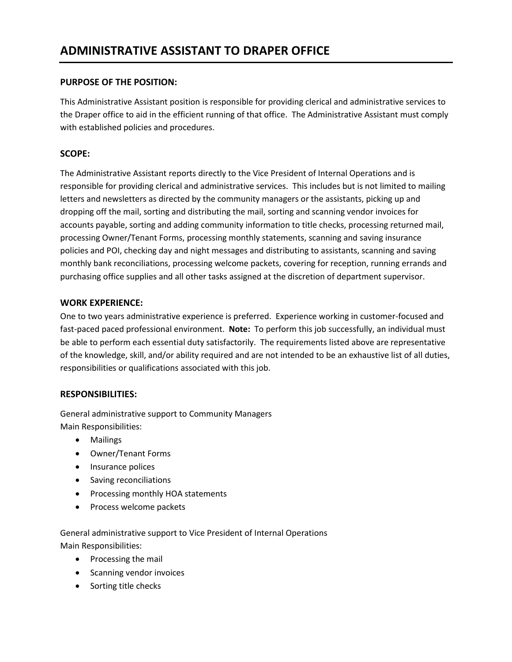# **PURPOSE OF THE POSITION:**

This Administrative Assistant position is responsible for providing clerical and administrative services to the Draper office to aid in the efficient running of that office. The Administrative Assistant must comply with established policies and procedures.

# **SCOPE:**

The Administrative Assistant reports directly to the Vice President of Internal Operations and is responsible for providing clerical and administrative services. This includes but is not limited to mailing letters and newsletters as directed by the community managers or the assistants, picking up and dropping off the mail, sorting and distributing the mail, sorting and scanning vendor invoices for accounts payable, sorting and adding community information to title checks, processing returned mail, processing Owner/Tenant Forms, processing monthly statements, scanning and saving insurance policies and POI, checking day and night messages and distributing to assistants, scanning and saving monthly bank reconciliations, processing welcome packets, covering for reception, running errands and purchasing office supplies and all other tasks assigned at the discretion of department supervisor.

# **WORK EXPERIENCE:**

One to two years administrative experience is preferred. Experience working in customer-focused and fast-paced paced professional environment. **Note:** To perform this job successfully, an individual must be able to perform each essential duty satisfactorily. The requirements listed above are representative of the knowledge, skill, and/or ability required and are not intended to be an exhaustive list of all duties, responsibilities or qualifications associated with this job.

# **RESPONSIBILITIES:**

General administrative support to Community Managers Main Responsibilities:

- Mailings
- Owner/Tenant Forms
- Insurance polices
- Saving reconciliations
- Processing monthly HOA statements
- Process welcome packets

General administrative support to Vice President of Internal Operations Main Responsibilities:

- Processing the mail
- Scanning vendor invoices
- Sorting title checks